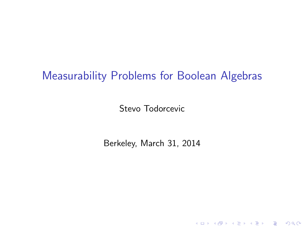# Measurability Problems for Boolean Algebras

Stevo Todorcevic

Berkeley, March 31, 2014

K ロ ▶ K @ ▶ K 할 ▶ K 할 ▶ | 할 | ⊙Q @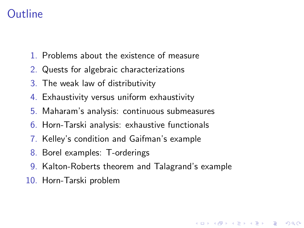# **Outline**

- 1. Problems about the existence of measure
- 2. Quests for algebraic characterizations
- 3. The weak law of distributivity
- 4. Exhaustivity versus uniform exhaustivity
- 5. Maharam's analysis: continuous submeasures
- 6. Horn-Tarski analysis: exhaustive functionals
- 7. Kelley's condition and Gaifman's example
- 8. Borel examples: T-orderings
- 9. Kalton-Roberts theorem and Talagrand's example

**KORK ERKER ADE YOUR** 

10. Horn-Tarski problem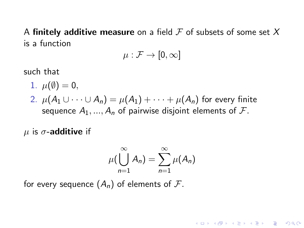A finitely additive measure on a field  $\mathcal F$  of subsets of some set  $X$ is a function

$$
\mu:\mathcal{F}\to[0,\infty]
$$

such that

\n- 1. 
$$
\mu(\emptyset) = 0
$$
,
\n- 2.  $\mu(A_1 \cup \cdots \cup A_n) = \mu(A_1) + \cdots + \mu(A_n)$  for every finite sequence  $A_1, \ldots, A_n$  of pairwise disjoint elements of  $\mathcal{F}$ .
\n

 $\mu$  is  $\sigma$ -additive if

$$
\mu\left(\bigcup_{n=1}^{\infty}A_n\right)=\sum_{n=1}^{\infty}\mu(A_n)
$$

K ロ ▶ K @ ▶ K 할 > K 할 > 1 할 > 1 이익어

for every sequence  $(A_n)$  of elements of  $\mathcal{F}$ .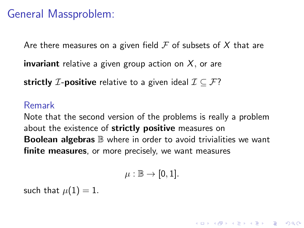# General Massproblem:

Are there measures on a given field  $\mathcal F$  of subsets of X that are

**invariant** relative a given group action on  $X$ , or are

strictly *I*-positive relative to a given ideal  $\mathcal{I} \subseteq \mathcal{F}$ ?

#### Remark

Note that the second version of the problems is really a problem about the existence of strictly positive measures on **Boolean algebras**  $\mathbb B$  where in order to avoid trivialities we want finite measures, or more precisely, we want measures

$$
\mu:\mathbb{B}\to[0,1].
$$

4 D > 4 P + 4 B + 4 B + B + 9 Q O

such that  $\mu(1) = 1$ .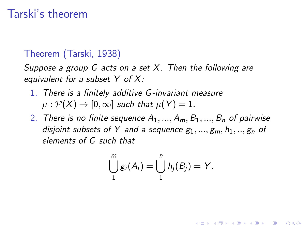# Tarski's theorem

### Theorem (Tarski, 1938)

Suppose a group G acts on a set  $X$ . Then the following are equivalent for a subset  $Y$  of  $X$ :

- 1. There is a finitely additive G -invariant measure  $\mu : \mathcal{P}(X) \to [0,\infty]$  such that  $\mu(Y) = 1$ .
- 2. There is no finite sequence  $A_1, ..., A_m, B_1, ..., B_n$  of pairwise disjoint subsets of Y and a sequence  $g_1, ..., g_m, h_1, ..., g_n$  of elements of G such that

$$
\bigcup_{1}^{m}g_i(A_i)=\bigcup_{1}^{n}h_j(B_j)=Y.
$$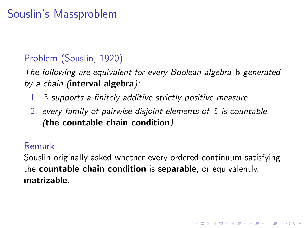# Souslin's Massproblem

## Problem (Souslin, 1920)

The following are equivalent for every Boolean algebra  $\mathbb B$  generated by a chain (interval algebra):

- $1.$  B supports a finitely additive strictly positive measure.
- 2. every family of pairwise disjoint elements of  $\mathbb B$  is countable (the countable chain condition).

#### Remark

Souslin originally asked whether every ordered continuum satisfying the countable chain condition is separable, or equivalently, matrizable.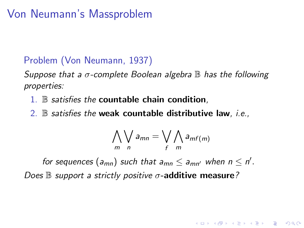# Von Neumann's Massproblem

## Problem (Von Neumann, 1937)

Suppose that a  $\sigma$ -complete Boolean algebra  $\mathbb B$  has the following properties:

- $1.$  B satisfies the countable chain condition,
- 2.  $\mathbb B$  satisfies the weak countable distributive law, i.e.,

$$
\bigwedge_{m}\bigvee_{n}a_{mn}=\bigvee_{f}\bigwedge_{m}a_{mf(m)}
$$

**K ロ ▶ K @ ▶ K 할 X X 할 X → 할 X → 9 Q Q ^** 

for sequences  $(a_{mn})$  such that  $a_{mn} \le a_{mn'}$  when  $n \le n'$ . Does  $\mathbb B$  support a strictly positive  $\sigma$ -additive measure?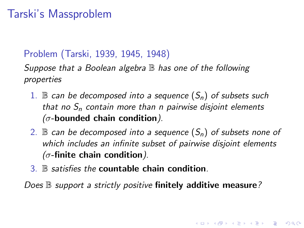# Tarski's Massproblem

#### Problem (Tarski, 1939, 1945, 1948)

Suppose that a Boolean algebra  $\mathbb B$  has one of the following properties

- 1. B can be decomposed into a sequence  $(S_n)$  of subsets such that no  $S_n$  contain more than n pairwise disjoint elements  $(\sigma$ -bounded chain condition).
- 2.  $\mathbb B$  can be decomposed into a sequence  $(S_n)$  of subsets none of which includes an infinite subset of pairwise disjoint elements  $(\sigma$ -finite chain condition).

4 D > 4 P + 4 B + 4 B + B + 9 Q O

3. B satisfies the countable chain condition.

Does  $\mathbb B$  support a strictly positive finitely additive measure?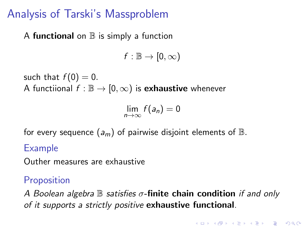# Analysis of Tarski's Massproblem

### A functional on  $\mathbb B$  is simply a function

 $f : \mathbb{B} \to [0, \infty)$ 

such that  $f(0) = 0$ . A functiional  $f : \mathbb{B} \to [0, \infty)$  is **exhaustive** whenever

$$
\lim_{n\to\infty}f(a_n)=0
$$

for every sequence  $(a_m)$  of pairwise disjoint elements of  $\mathbb B$ .

### Example

Outher measures are exhaustive

## **Proposition**

A Boolean algebra  $\mathbb B$  satisfies  $\sigma$ -finite chain condition if and only of it supports a strictly positive exhaustive functional.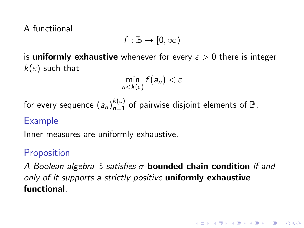A functiional

$$
f:\mathbb{B}\to [0,\infty)
$$

is **uniformly exhaustive** whenever for every  $\varepsilon > 0$  there is integer  $k(\varepsilon)$  such that

 $\min_{n \leq k(\varepsilon)} f(a_n) < \varepsilon$ 

for every sequence  $(a_n)_{n=1}^{k(\varepsilon)}$  of pairwise disjoint elements of  $\mathbb B.$ 

### Example

Inner measures are uniformly exhaustive.

## **Proposition**

A Boolean algebra  $\mathbb B$  satisfies  $\sigma$ -bounded chain condition if and only of it supports a strictly positive uniformly exhaustive functional.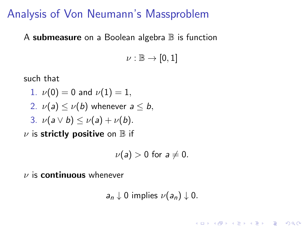# Analysis of Von Neumann's Massproblem

A submeasure on a Boolean algebra  $\mathbb B$  is function

 $\nu : \mathbb{B} \to [0,1]$ 

such that

- 1.  $\nu(0) = 0$  and  $\nu(1) = 1$ , 2.  $\nu(a) \leq \nu(b)$  whenever  $a \leq b$ , 3.  $\nu(a \vee b) \leq \nu(a) + \nu(b)$ .
- $\nu$  is strictly positive on  $\mathbb B$  if

$$
\nu(a) > 0 \text{ for } a \neq 0.
$$

 $\nu$  is **continuous** whenever

 $a_n \downarrow 0$  implies  $\nu(a_n) \downarrow 0$ .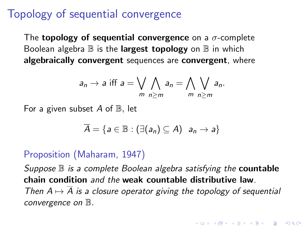# Topology of sequential convergence

The **topology of sequential convergence** on a  $\sigma$ -complete Boolean algebra  $\mathbb B$  is the **largest topology** on  $\mathbb B$  in which algebraically convergent sequences are convergent, where

$$
a_n \to a \text{ iff } a = \bigvee_{m} \bigwedge_{n \geq m} a_n = \bigwedge_{m} \bigvee_{n \geq m} a_n.
$$

For a given subset  $A$  of  $\mathbb{B}$ , let

$$
\overline{A} = \{a \in \mathbb{B} : (\exists (a_n) \subseteq A) \mid a_n \to a\}
$$

### Proposition (Maharam, 1947)

Suppose  $\mathbb B$  is a complete Boolean algebra satisfying the **countable** chain condition and the weak countable distributive law. Then  $A \mapsto \overline{A}$  is a closure operator giving the topology of sequential convergence on  $\mathbb{B}.$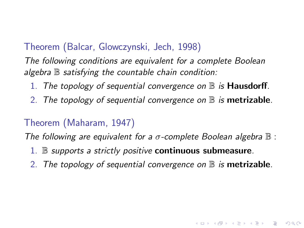### Theorem (Balcar, Glowczynski, Jech, 1998)

The following conditions are equivalent for a complete Boolean algebra  $\mathbb B$  satisfying the countable chain condition:

- 1. The topology of sequential convergence on  $\mathbb B$  is **Hausdorff**.
- 2. The topology of sequential convergence on  $\mathbb B$  is metrizable.

#### Theorem (Maharam, 1947)

The following are equivalent for a  $\sigma$ -complete Boolean algebra  $\mathbb B$  :

- 1.  $\mathbb B$  supports a strictly positive continuous submeasure.
- 2. The topology of sequential convergence on  $\mathbb B$  is metrizable.

**KORKA SERKER ORA**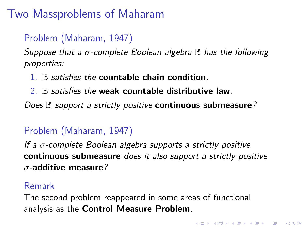# Two Massproblems of Maharam

# Problem (Maharam, 1947)

Suppose that a  $\sigma$ -complete Boolean algebra  $\mathbb B$  has the following properties:

 $1.$  B satisfies the countable chain condition,

2. B satisfies the weak countable distributive law.

Does  $\mathbb B$  support a strictly positive continuous submeasure?

## Problem (Maharam, 1947)

If a  $\sigma$ -complete Boolean algebra supports a strictly positive continuous submeasure does it also support a strictly positive  $\sigma$ -additive measure?

#### Remark

<span id="page-13-0"></span>The second problem reappeared in some areas of functional analysis as the Control Measure Problem.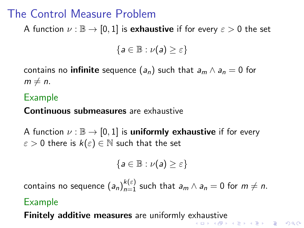# The Control Measure Problem

A function  $\nu : \mathbb{B} \to [0,1]$  is **exhaustive** if for every  $\varepsilon > 0$  the set

 ${a \in \mathbb{B} : \nu(a) > \varepsilon}$ 

contains no **infinite** sequence  $(a_n)$  such that  $a_m \wedge a_n = 0$  for  $m \neq n$ .

## Example

#### Continuous submeasures are exhaustive

A function  $\nu : \mathbb{B} \to [0, 1]$  is **uniformly exhaustive** if for every  $\varepsilon > 0$  there is  $k(\varepsilon) \in \mathbb{N}$  such that the set

$$
\{a\in\mathbb{B}:\nu(a)\geq\varepsilon\}
$$

contains no sequence  $\left(a_{n}\right)_{n=1}^{k(\varepsilon)}$  such that  $a_{m}\wedge a_{n}=0$  for  $m\neq n.$ 

#### Example

<span id="page-14-0"></span>**Finitely addit[iv](#page-14-0)[e](#page-15-0) measures** are uniformly e[xh](#page-13-0)[au](#page-15-0)[st](#page-13-0)ive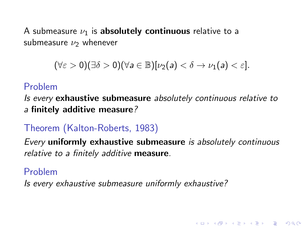A submeasure  $\nu_1$  is absolutely continuous relative to a submeasure  $\nu_2$  whenever

$$
(\forall \varepsilon > 0)(\exists \delta > 0)(\forall a \in \mathbb{B})[\nu_2(a) < \delta \to \nu_1(a) < \varepsilon].
$$

### Problem

Is every exhaustive submeasure absolutely continuous relative to a finitely additive measure?

## Theorem (Kalton-Roberts, 1983)

Every uniformly exhaustive submeasure is absolutely continuous relative to a finitely additive measure.

**KORK ERKER ADE YOUR** 

#### Problem

<span id="page-15-0"></span>Is every exhaustive submeasure uniformly exhaustive?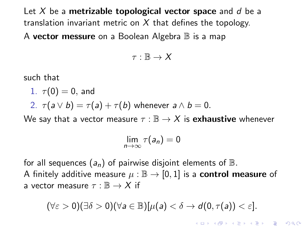Let X be a metrizable topological vector space and d be a translation invariant metric on  $X$  that defines the topology. A **vector messure** on a Boolean Algebra  $\mathbb B$  is a map

$$
\tau:\mathbb{B}\to X
$$

such that

1.  $\tau(0) = 0$ , and

2.  $\tau(a \vee b) = \tau(a) + \tau(b)$  whenever  $a \wedge b = 0$ .

We say that a vector measure  $\tau : \mathbb{B} \to X$  is **exhaustive** whenever

$$
\lim_{n\to\infty}\tau(a_n)=0
$$

for all sequences  $(a_n)$  of pairwise disjoint elements of  $\mathbb B$ . A finitely additive measure  $\mu : \mathbb{B} \to [0,1]$  is a **control measure** of a vector measure  $\tau : \mathbb{B} \to X$  if

$$
(\forall \varepsilon > 0)(\exists \delta > 0)(\forall a \in \mathbb{B})[\mu(a) < \delta \rightarrow d(0, \tau(a)) < \varepsilon].
$$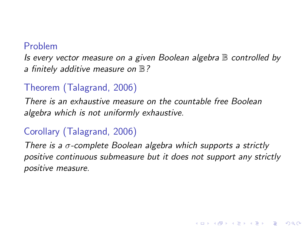#### Problem

Is every vector measure on a given Boolean algebra B controlled by a finitely additive measure on  $\mathbb{B}$ ?

## Theorem (Talagrand, 2006)

There is an exhaustive measure on the countable free Boolean algebra which is not uniformly exhaustive.

## Corollary (Talagrand, 2006)

There is a  $\sigma$ -complete Boolean algebra which supports a strictly positive continuous submeasure but it does not support any strictly positive measure.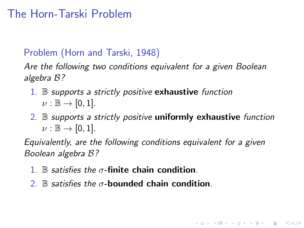# The Horn-Tarski Problem

## Problem (Horn and Tarski, 1948)

Are the following two conditions equivalent for a given Boolean algebra B?

- 1.  $\mathbb B$  supports a strictly positive **exhaustive** function  $\nu : \mathbb{B} \to [0,1].$
- 2. B supports a strictly positive uniformly exhaustive function  $\nu : \mathbb{B} \to [0,1].$

**KORK ERKER ADE YOUR** 

Equivalently, are the following conditions equivalent for a given Boolean algebra B?

- 1. B satisfies the  $\sigma$ -finite chain condition.
- 2. B satisfies the  $\sigma$ -bounded chain condition.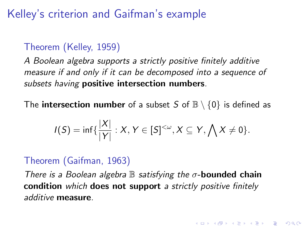# Kelley's criterion and Gaifman's example

## Theorem (Kelley, 1959)

A Boolean algebra supports a strictly positive finitely additive measure if and only if it can be decomposed into a sequence of subsets having **positive intersection numbers**.

The **intersection number** of a subset S of  $\mathbb{B} \setminus \{0\}$  is defined as

$$
I(S) = \inf \{ \frac{|X|}{|Y|} : X, Y \in [S]^{<\omega}, X \subseteq Y, \bigwedge X \neq 0 \}.
$$

## Theorem (Gaifman, 1963)

There is a Boolean algebra  $\mathbb B$  satisfying the  $\sigma$ -bounded chain condition which does not support a strictly positive finitely additive measure.

**K ロ ▶ K @ ▶ K 할 X X 할 X → 할 X → 9 Q Q ^**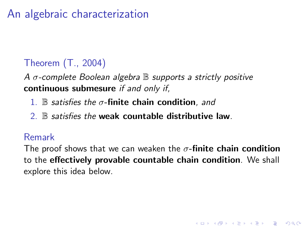# An algebraic characterization

## Theorem (T., 2004)

A  $\sigma$ -complete Boolean algebra  $\mathbb B$  supports a strictly positive continuous submesure if and only if,

- 1.  $\mathbb B$  satisfies the  $\sigma$ -finite chain condition, and
- $2 \mathbb{R}$  satisfies the weak countable distributive law.

### Remark

The proof shows that we can weaken the  $\sigma$ -finite chain condition to the effectively provable countable chain condition. We shall explore this idea below.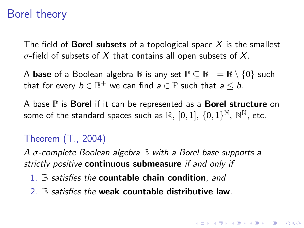# Borel theory

The field of **Borel subsets** of a topological space  $X$  is the smallest  $\sigma$ -field of subsets of X that contains all open subsets of X.

A  $\texttt{base}$  of a Boolean algebra  $\mathbb B$  is any set  $\mathbb P \subseteq \mathbb B^+ = \mathbb B \setminus \{0\}$  such that for every  $b\in\mathbb{B}^+$  we can find  $a\in\mathbb{P}$  such that  $a\leq b.$ 

A base  $\mathbb P$  is **Borel** if it can be represented as a **Borel structure** on some of the standard spaces such as  $\mathbb{R}, [0,1],$   $\{0,1\}^{\mathbb{N}},$   $\mathbb{N}^{\mathbb{N}},$  etc.

## Theorem (T., 2004)

A  $\sigma$ -complete Boolean algebra  $\mathbb B$  with a Borel base supports a strictly positive continuous submeasure if and only if

- 1.  $\mathbb B$  satisfies the countable chain condition, and
- 2. B satisfies the weak countable distributive law.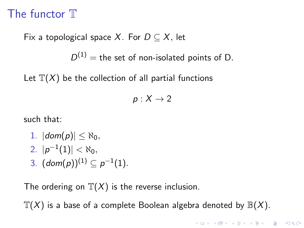# The functor T

Fix a topological space X. For  $D \subseteq X$ , let

 $D^{(1)}$  = the set of non-isolated points of D.

Let  $\mathbb{T}(X)$  be the collection of all partial functions

 $p: X \rightarrow 2$ 

such that:

- 1.  $|dom(p)| < \aleph_0$ ,  $2.$   $|p^{-1}(1)| < \aleph_0,$
- 3.  $(dom(p))^{(1)} \subseteq p^{-1}(1)$ .

The ordering on  $\mathbb{T}(X)$  is the reverse inclusion.

 $T(X)$  is a base of a complete Boolean algebra denoted by  $\mathbb{B}(X)$ .

**K ロ ▶ K @ ▶ K 할 X X 할 X → 할 X → 9 Q Q ^**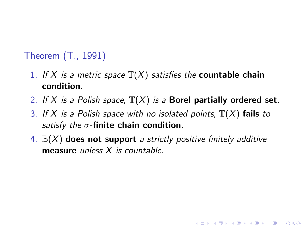## Theorem (T., 1991)

- 1. If X is a metric space  $\mathbb{T}(X)$  satisfies the **countable chain** condition.
- 2. If X is a Polish space,  $\mathbb{T}(X)$  is a Borel partially ordered set.
- 3. If X is a Polish space with no isolated points,  $\mathbb{T}(X)$  fails to satisfy the  $\sigma$ -finite chain condition.
- 4.  $\mathbb{B}(X)$  does not support a strictly positive finitely additive measure *unless X is countable*.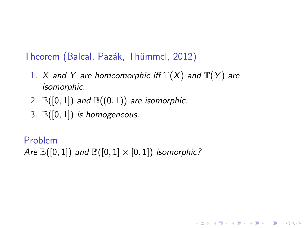Theorem (Balcal, Pazák, Thümmel, 2012)

1. X and Y are homeomorphic iff  $\mathbb{T}(X)$  and  $\mathbb{T}(Y)$  are isomorphic.

**KORK ERKER ADE YOUR** 

- 2.  $\mathbb{B}([0,1])$  and  $\mathbb{B}((0,1))$  are isomorphic.
- 3.  $\mathbb{B}([0,1])$  is homogeneous.

Problem

Are  $\mathbb{B}([0,1])$  and  $\mathbb{B}([0,1] \times [0,1])$  isomorphic?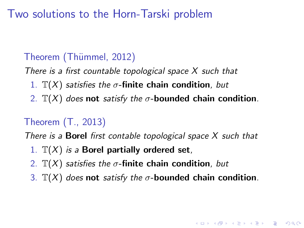Two solutions to the Horn-Tarski problem

## Theorem (Thümmel, 2012)

There is a first countable topological space  $X$  such that

- 1.  $\mathbb{T}(X)$  satisfies the  $\sigma$ -finite chain condition, but
- 2.  $\mathbb{T}(X)$  does not satisfy the  $\sigma$ -bounded chain condition.

## Theorem (T., 2013)

There is a **Borel** first contable topological space  $X$  such that

- 1.  $\mathbb{T}(X)$  is a Borel partially ordered set,
- 2.  $\mathbb{T}(X)$  satisfies the  $\sigma$ -finite chain condition, but
- 3.  $\mathbb{T}(X)$  does not satisfy the  $\sigma$ -bounded chain condition.

KID KA KERKER E VOOR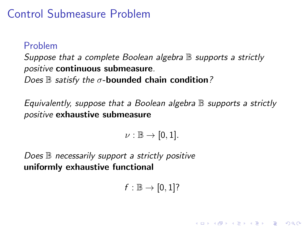# Control Submeasure Problem

### Problem

Suppose that a complete Boolean algebra  $\mathbb B$  supports a strictly positive continuous submeasure.

Does  $\mathbb B$  satisfy the  $\sigma$ -bounded chain condition?

Equivalently, suppose that a Boolean algebra  $\mathbb B$  supports a strictly positive exhaustive submeasure

 $\nu : \mathbb{B} \to [0,1].$ 

Does  $\mathbb B$  necessarily support a strictly positive uniformly exhaustive functional

 $f : \mathbb{B} \to [0,1]$ ?

4 D > 4 P + 4 B + 4 B + B + 9 Q O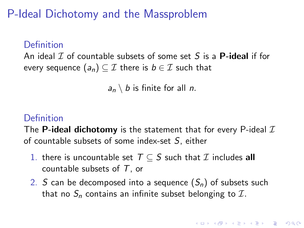P-Ideal Dichotomy and the Massproblem

#### Definition

An ideal  $\mathcal I$  of countable subsets of some set S is a **P-ideal** if for every sequence  $(a_n) \subseteq \mathcal{I}$  there is  $b \in \mathcal{I}$  such that

 $a_n \setminus b$  is finite for all *n*.

## Definition

The **P-ideal dichotomy** is the statement that for every P-ideal  $I$ of countable subsets of some index-set S, either

- 1. there is uncountable set  $T \subseteq S$  such that  $\mathcal I$  includes all countable subsets of  $T$ , or
- 2. S can be decomposed into a sequence  $(S_n)$  of subsets such that no  $S_n$  contains an infinite subset belonging to  $\mathcal{I}$ .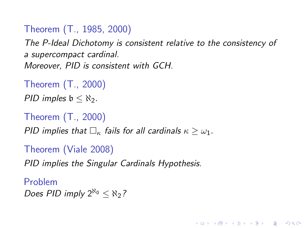Theorem (T., 1985, 2000)

The P-Ideal Dichotomy is consistent relative to the consistency of a supercompact cardinal. Moreover, PID is consistent with GCH.

**KORK ERKER ADE YOUR** 

Theorem (T., 2000) PID imples  $\mathfrak{b} < \aleph_2$ .

```
Theorem (T., 2000)
```
PID implies that  $\Box_{\kappa}$  fails for all cardinals  $\kappa > \omega_1$ .

Theorem (Viale 2008)

PID implies the Singular Cardinals Hypothesis.

Problem Does PID imply  $2^{\aleph_0} \leq \aleph_2$ ?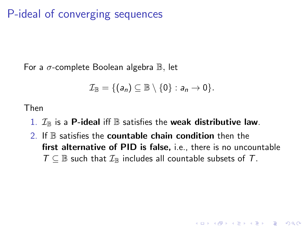# P-ideal of converging sequences

For a  $\sigma$ -complete Boolean algebra  $\mathbb B$ , let

$$
\mathcal{I}_{\mathbb{B}} = \{ (a_n) \subseteq \mathbb{B} \setminus \{0\} : a_n \to 0 \}.
$$

Then

- 1.  $\mathcal{I}_{\mathbb{B}}$  is a P-ideal iff  $\mathbb B$  satisfies the weak distributive law.
- 2. If  $\mathbb B$  satisfies the countable chain condition then the first alternative of PID is false, i.e., there is no uncountable  $T \subseteq \mathbb{B}$  such that  $\mathcal{I}_{\mathbb{B}}$  includes all countable subsets of T.